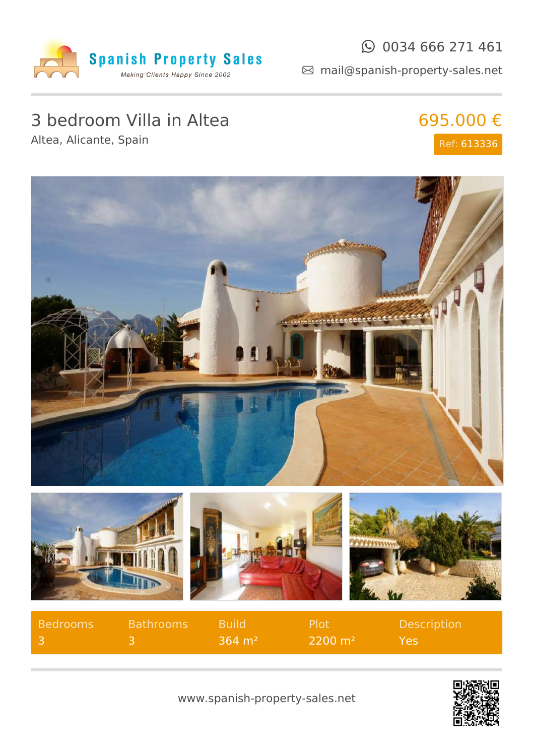

### $\odot$  0034 666 271 461

mail@spanish-property-sales.net

# 3 bedroom Villa in Altea

Altea, Alicante, Spain

## 695.000 € Ref: 613336



| Bedrooms | <b>Bathrooms</b> | Build                 | - Plot             | <b>Description</b> |
|----------|------------------|-----------------------|--------------------|--------------------|
|          |                  | $364 \; \mathrm{m}^2$ | $2200 \text{ m}^2$ | Yes,               |

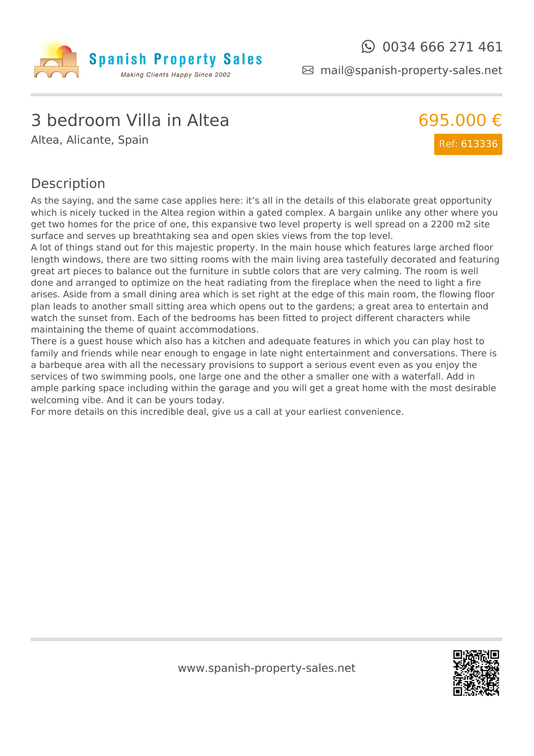

mail@spanish-property-sales.net

### 3 bedroom Villa in Altea

Altea, Alicante, Spain



#### Description

As the saying, and the same case applies here: it's all in the details of this elaborate great opportunity which is nicely tucked in the Altea region within a gated complex. A bargain unlike any other where you get two homes for the price of one, this expansive two level property is well spread on a 2200 m2 site surface and serves up breathtaking sea and open skies views from the top level.

A lot of things stand out for this majestic property. In the main house which features large arched floor length windows, there are two sitting rooms with the main living area tastefully decorated and featuring great art pieces to balance out the furniture in subtle colors that are very calming. The room is well done and arranged to optimize on the heat radiating from the fireplace when the need to light a fire arises. Aside from a small dining area which is set right at the edge of this main room, the flowing floor plan leads to another small sitting area which opens out to the gardens; a great area to entertain and watch the sunset from. Each of the bedrooms has been fitted to project different characters while maintaining the theme of quaint accommodations.

There is a guest house which also has a kitchen and adequate features in which you can play host to family and friends while near enough to engage in late night entertainment and conversations. There is a barbeque area with all the necessary provisions to support a serious event even as you enjoy the services of two swimming pools, one large one and the other a smaller one with a waterfall. Add in ample parking space including within the garage and you will get a great home with the most desirable welcoming vibe. And it can be yours today.

For more details on this incredible deal, give us a call at your earliest convenience.